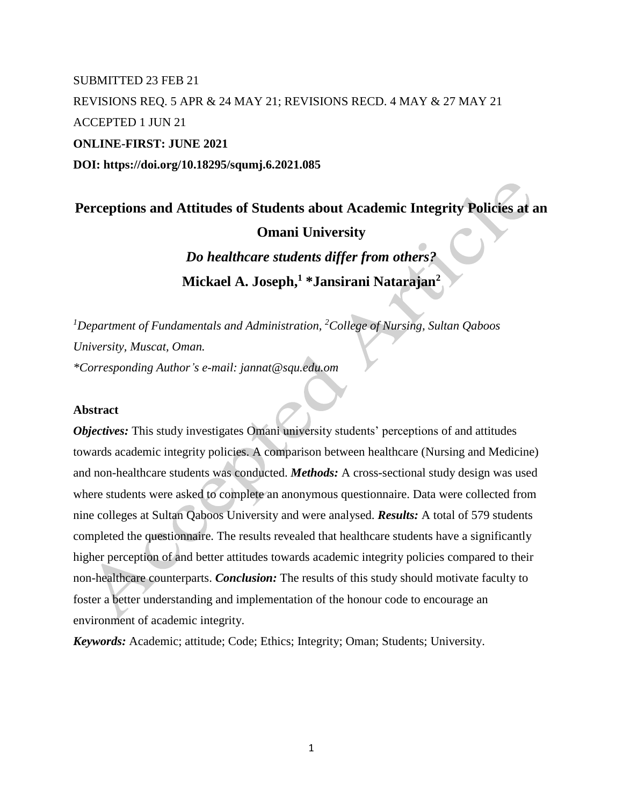# SUBMITTED 23 FEB 21 REVISIONS REQ. 5 APR & 24 MAY 21; REVISIONS RECD. 4 MAY & 27 MAY 21 ACCEPTED 1 JUN 21 **ONLINE-FIRST: JUNE 2021 DOI: https://doi.org/10.18295/squmj.6.2021.085**

**Perceptions and Attitudes of Students about Academic Integrity Policies at an Omani University** *Do healthcare students differ from others?* **Mickael A. Joseph, <sup>1</sup> \*Jansirani Natarajan<sup>2</sup>**

*<sup>1</sup>Department of Fundamentals and Administration, <sup>2</sup>College of Nursing, Sultan Qaboos University, Muscat, Oman. \*Corresponding Author's e-mail: jannat@squ.edu.om*

#### **Abstract**

*Objectives:* This study investigates Omani university students' perceptions of and attitudes towards academic integrity policies. A comparison between healthcare (Nursing and Medicine) and non-healthcare students was conducted. *Methods:* A cross-sectional study design was used where students were asked to complete an anonymous questionnaire. Data were collected from nine colleges at Sultan Qaboos University and were analysed. *Results:* A total of 579 students completed the questionnaire. The results revealed that healthcare students have a significantly higher perception of and better attitudes towards academic integrity policies compared to their non-healthcare counterparts. *Conclusion:* The results of this study should motivate faculty to foster a better understanding and implementation of the honour code to encourage an environment of academic integrity.

*Keywords:* Academic; attitude; Code; Ethics; Integrity; Oman; Students; University.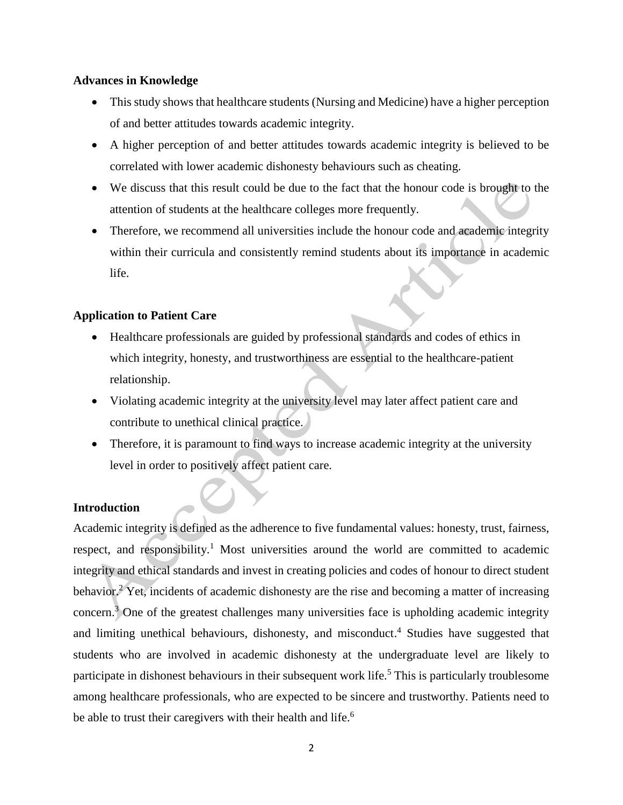## **Advances in Knowledge**

- This study shows that healthcare students (Nursing and Medicine) have a higher perception of and better attitudes towards academic integrity.
- A higher perception of and better attitudes towards academic integrity is believed to be correlated with lower academic dishonesty behaviours such as cheating.
- We discuss that this result could be due to the fact that the honour code is brought to the attention of students at the healthcare colleges more frequently.
- Therefore, we recommend all universities include the honour code and academic integrity within their curricula and consistently remind students about its importance in academic life.

## **Application to Patient Care**

- Healthcare professionals are guided by professional standards and codes of ethics in which integrity, honesty, and trustworthiness are essential to the healthcare-patient relationship.
- Violating academic integrity at the university level may later affect patient care and contribute to unethical clinical practice.
- Therefore, it is paramount to find ways to increase academic integrity at the university level in order to positively affect patient care.

## **Introduction**

Academic integrity is defined as the adherence to five fundamental values: honesty, trust, fairness, respect, and responsibility.<sup>1</sup> Most universities around the world are committed to academic integrity and ethical standards and invest in creating policies and codes of honour to direct student behavior.<sup>2</sup> Yet, incidents of academic dishonesty are the rise and becoming a matter of increasing concern.<sup>3</sup> One of the greatest challenges many universities face is upholding academic integrity and limiting unethical behaviours, dishonesty, and misconduct. <sup>4</sup> Studies have suggested that students who are involved in academic dishonesty at the undergraduate level are likely to participate in dishonest behaviours in their subsequent work life.<sup>5</sup> This is particularly troublesome among healthcare professionals, who are expected to be sincere and trustworthy. Patients need to be able to trust their caregivers with their health and life.<sup>6</sup>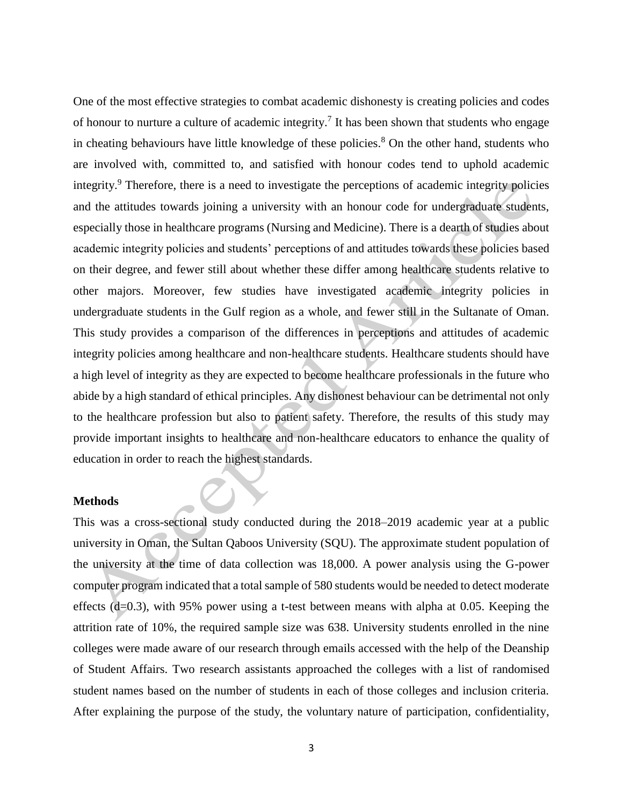One of the most effective strategies to combat academic dishonesty is creating policies and codes of honour to nurture a culture of academic integrity.<sup>7</sup> It has been shown that students who engage in cheating behaviours have little knowledge of these policies. $8$  On the other hand, students who are involved with, committed to, and satisfied with honour codes tend to uphold academic integrity.<sup>9</sup> Therefore, there is a need to investigate the perceptions of academic integrity policies and the attitudes towards joining a university with an honour code for undergraduate students, especially those in healthcare programs (Nursing and Medicine). There is a dearth of studies about academic integrity policies and students' perceptions of and attitudes towards these policies based on their degree, and fewer still about whether these differ among healthcare students relative to other majors. Moreover, few studies have investigated academic integrity policies in undergraduate students in the Gulf region as a whole, and fewer still in the Sultanate of Oman. This study provides a comparison of the differences in perceptions and attitudes of academic integrity policies among healthcare and non-healthcare students. Healthcare students should have a high level of integrity as they are expected to become healthcare professionals in the future who abide by a high standard of ethical principles. Any dishonest behaviour can be detrimental not only to the healthcare profession but also to patient safety. Therefore, the results of this study may provide important insights to healthcare and non-healthcare educators to enhance the quality of education in order to reach the highest standards.

#### **Methods**

This was a cross-sectional study conducted during the 2018–2019 academic year at a public university in Oman, the Sultan Qaboos University (SQU). The approximate student population of the university at the time of data collection was 18,000. A power analysis using the G-power computer program indicated that a total sample of 580 students would be needed to detect moderate effects  $(d=0.3)$ , with 95% power using a t-test between means with alpha at 0.05. Keeping the attrition rate of 10%, the required sample size was 638. University students enrolled in the nine colleges were made aware of our research through emails accessed with the help of the Deanship of Student Affairs. Two research assistants approached the colleges with a list of randomised student names based on the number of students in each of those colleges and inclusion criteria. After explaining the purpose of the study, the voluntary nature of participation, confidentiality,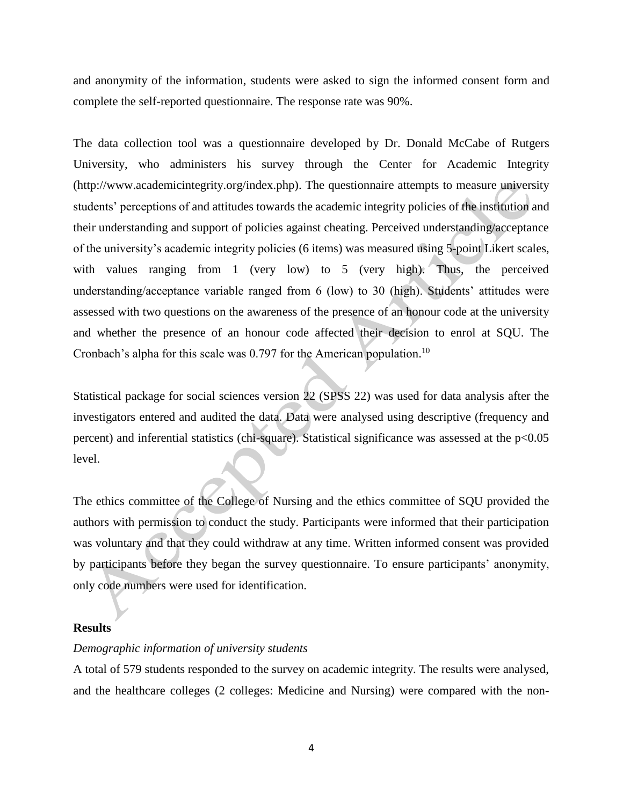and anonymity of the information, students were asked to sign the informed consent form and complete the self-reported questionnaire. The response rate was 90%.

The data collection tool was a questionnaire developed by Dr. Donald McCabe of Rutgers University, who administers his survey through the Center for Academic Integrity (http://www.academicintegrity.org/index.php). The questionnaire attempts to measure university students' perceptions of and attitudes towards the academic integrity policies of the institution and their understanding and support of policies against cheating. Perceived understanding/acceptance of the university's academic integrity policies (6 items) was measured using 5-point Likert scales, with values ranging from 1 (very low) to 5 (very high). Thus, the perceived understanding/acceptance variable ranged from 6 (low) to 30 (high). Students' attitudes were assessed with two questions on the awareness of the presence of an honour code at the university and whether the presence of an honour code affected their decision to enrol at SQU. The Cronbach's alpha for this scale was  $0.797$  for the American population.<sup>10</sup>

Statistical package for social sciences version 22 (SPSS 22) was used for data analysis after the investigators entered and audited the data. Data were analysed using descriptive (frequency and percent) and inferential statistics (chi-square). Statistical significance was assessed at the p<0.05 level.

The ethics committee of the College of Nursing and the ethics committee of SQU provided the authors with permission to conduct the study. Participants were informed that their participation was voluntary and that they could withdraw at any time. Written informed consent was provided by participants before they began the survey questionnaire. To ensure participants' anonymity, only code numbers were used for identification.

#### **Results**

#### *Demographic information of university students*

A total of 579 students responded to the survey on academic integrity. The results were analysed, and the healthcare colleges (2 colleges: Medicine and Nursing) were compared with the non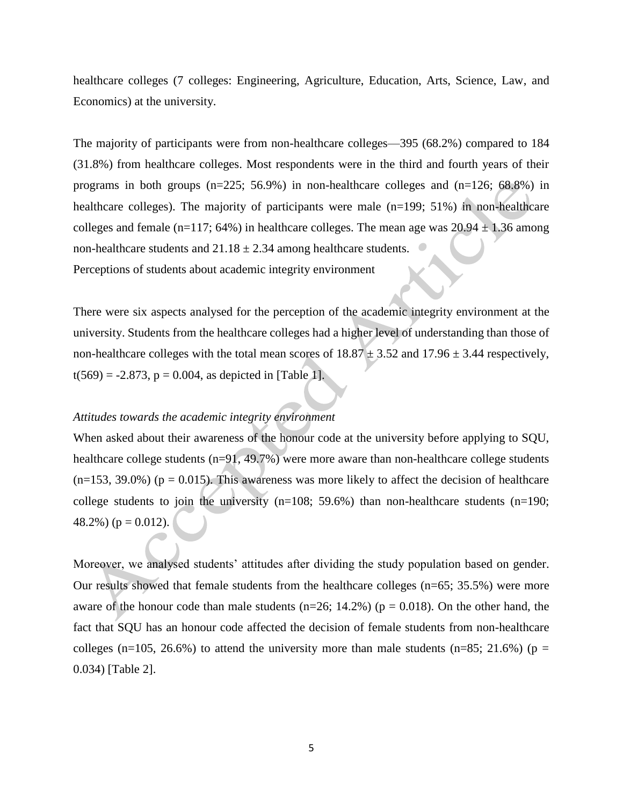healthcare colleges (7 colleges: Engineering, Agriculture, Education, Arts, Science, Law, and Economics) at the university.

The majority of participants were from non-healthcare colleges—395 (68.2%) compared to 184 (31.8%) from healthcare colleges. Most respondents were in the third and fourth years of their programs in both groups  $(n=225; 56.9%)$  in non-healthcare colleges and  $(n=126; 68.8%)$  in healthcare colleges). The majority of participants were male (n=199; 51%) in non-healthcare colleges and female (n=117; 64%) in healthcare colleges. The mean age was  $20.94 \pm 1.36$  among non-healthcare students and  $21.18 \pm 2.34$  among healthcare students.

Perceptions of students about academic integrity environment

There were six aspects analysed for the perception of the academic integrity environment at the university. Students from the healthcare colleges had a higher level of understanding than those of non-healthcare colleges with the total mean scores of  $18.87 \pm 3.52$  and  $17.96 \pm 3.44$  respectively,  $t(569) = -2.873$ ,  $p = 0.004$ , as depicted in [Table 1].

### *Attitudes towards the academic integrity environment*

When asked about their awareness of the honour code at the university before applying to SQU, healthcare college students  $(n=91, 49.7%)$  were more aware than non-healthcare college students  $(n=153, 39.0\%)$  ( $p = 0.015$ ). This awareness was more likely to affect the decision of healthcare college students to join the university  $(n=108; 59.6%)$  than non-healthcare students  $(n=190;$ 48.2%) ( $p = 0.012$ ).

Moreover, we analysed students' attitudes after dividing the study population based on gender. Our results showed that female students from the healthcare colleges (n=65; 35.5%) were more aware of the honour code than male students ( $n=26$ ; 14.2%) ( $p = 0.018$ ). On the other hand, the fact that SQU has an honour code affected the decision of female students from non-healthcare colleges (n=105, 26.6%) to attend the university more than male students (n=85; 21.6%) (p = 0.034) [Table 2].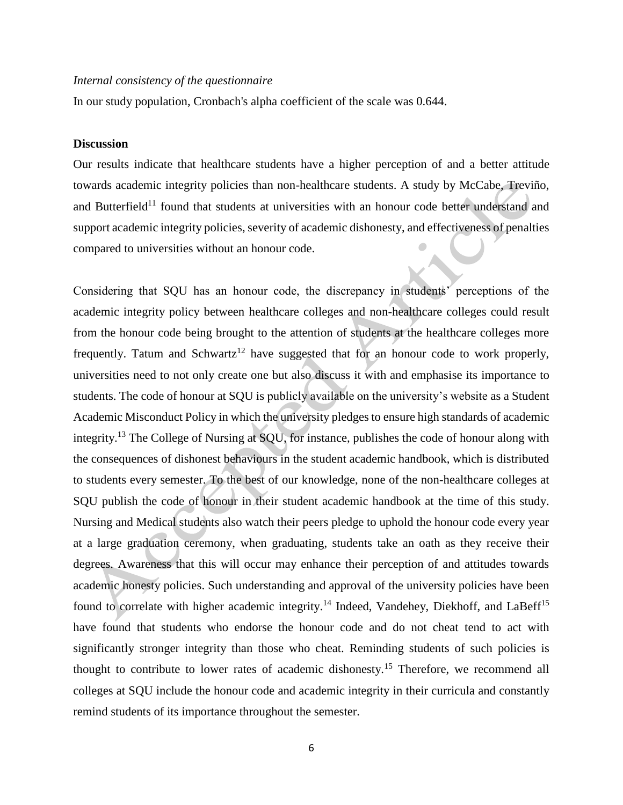#### *Internal consistency of the questionnaire*

In our study population, Cronbach's alpha coefficient of the scale was 0.644.

#### **Discussion**

Our results indicate that healthcare students have a higher perception of and a better attitude towards academic integrity policies than non-healthcare students. A study by McCabe, Treviño, and Butterfield<sup>11</sup> found that students at universities with an honour code better understand and support academic integrity policies, severity of academic dishonesty, and effectiveness of penalties compared to universities without an honour code.

Considering that SQU has an honour code, the discrepancy in students' perceptions of the academic integrity policy between healthcare colleges and non-healthcare colleges could result from the honour code being brought to the attention of students at the healthcare colleges more frequently. Tatum and Schwartz<sup>12</sup> have suggested that for an honour code to work properly, universities need to not only create one but also discuss it with and emphasise its importance to students. The code of honour at SQU is publicly available on the university's website as a Student Academic Misconduct Policy in which the university pledges to ensure high standards of academic integrity.<sup>13</sup> The College of Nursing at SQU, for instance, publishes the code of honour along with the consequences of dishonest behaviours in the student academic handbook, which is distributed to students every semester. To the best of our knowledge, none of the non-healthcare colleges at SQU publish the code of honour in their student academic handbook at the time of this study. Nursing and Medical students also watch their peers pledge to uphold the honour code every year at a large graduation ceremony, when graduating, students take an oath as they receive their degrees. Awareness that this will occur may enhance their perception of and attitudes towards academic honesty policies. Such understanding and approval of the university policies have been found to correlate with higher academic integrity.<sup>14</sup> Indeed, Vandehey, Diekhoff, and LaBeff<sup>15</sup> have found that students who endorse the honour code and do not cheat tend to act with significantly stronger integrity than those who cheat. Reminding students of such policies is thought to contribute to lower rates of academic dishonesty.<sup>15</sup> Therefore, we recommend all colleges at SQU include the honour code and academic integrity in their curricula and constantly remind students of its importance throughout the semester.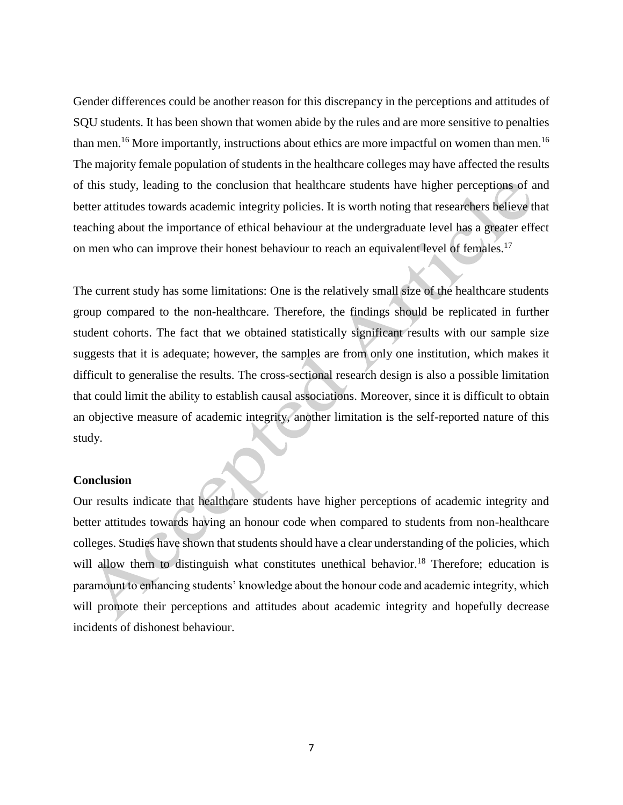Gender differences could be another reason for this discrepancy in the perceptions and attitudes of SQU students. It has been shown that women abide by the rules and are more sensitive to penalties than men.<sup>16</sup> More importantly, instructions about ethics are more impactful on women than men.<sup>16</sup> The majority female population of students in the healthcare colleges may have affected the results of this study, leading to the conclusion that healthcare students have higher perceptions of and better attitudes towards academic integrity policies. It is worth noting that researchers believe that teaching about the importance of ethical behaviour at the undergraduate level has a greater effect on men who can improve their honest behaviour to reach an equivalent level of females.<sup>17</sup>

The current study has some limitations: One is the relatively small size of the healthcare students group compared to the non-healthcare. Therefore, the findings should be replicated in further student cohorts. The fact that we obtained statistically significant results with our sample size suggests that it is adequate; however, the samples are from only one institution, which makes it difficult to generalise the results. The cross-sectional research design is also a possible limitation that could limit the ability to establish causal associations. Moreover, since it is difficult to obtain an objective measure of academic integrity, another limitation is the self-reported nature of this study.

#### **Conclusion**

Our results indicate that healthcare students have higher perceptions of academic integrity and better attitudes towards having an honour code when compared to students from non-healthcare colleges. Studies have shown that students should have a clear understanding of the policies, which will allow them to distinguish what constitutes unethical behavior.<sup>18</sup> Therefore; education is paramount to enhancing students' knowledge about the honour code and academic integrity, which will promote their perceptions and attitudes about academic integrity and hopefully decrease incidents of dishonest behaviour.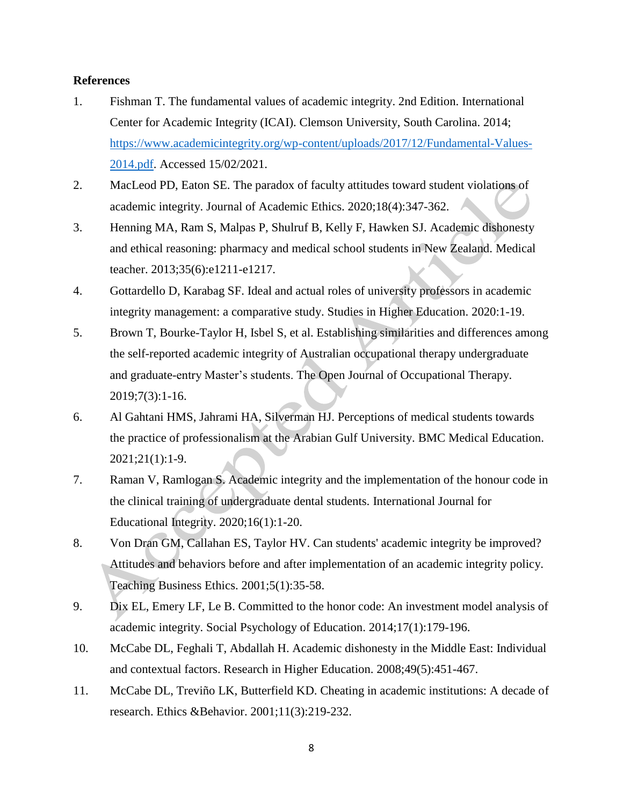#### **References**

- 1. Fishman T. The fundamental values of academic integrity. 2nd Edition. International Center for Academic Integrity (ICAI). Clemson University, South Carolina. 2014; [https://www.academicintegrity.org/wp-content/uploads/2017/12/Fundamental-Values-](https://www.academicintegrity.org/wp-content/uploads/2017/12/Fundamental-Values-2014.pdf)[2014.pdf.](https://www.academicintegrity.org/wp-content/uploads/2017/12/Fundamental-Values-2014.pdf) Accessed 15/02/2021.
- 2. MacLeod PD, Eaton SE. The paradox of faculty attitudes toward student violations of academic integrity. Journal of Academic Ethics. 2020;18(4):347-362.
- 3. Henning MA, Ram S, Malpas P, Shulruf B, Kelly F, Hawken SJ. Academic dishonesty and ethical reasoning: pharmacy and medical school students in New Zealand. Medical teacher. 2013;35(6):e1211-e1217.
- 4. Gottardello D, Karabag SF. Ideal and actual roles of university professors in academic integrity management: a comparative study. Studies in Higher Education. 2020:1-19.
- 5. Brown T, Bourke-Taylor H, Isbel S, et al. Establishing similarities and differences among the self-reported academic integrity of Australian occupational therapy undergraduate and graduate-entry Master's students. The Open Journal of Occupational Therapy. 2019;7(3):1-16.
- 6. Al Gahtani HMS, Jahrami HA, Silverman HJ. Perceptions of medical students towards the practice of professionalism at the Arabian Gulf University. BMC Medical Education. 2021;21(1):1-9.
- 7. Raman V, Ramlogan S. Academic integrity and the implementation of the honour code in the clinical training of undergraduate dental students. International Journal for Educational Integrity. 2020;16(1):1-20.
- 8. Von Dran GM, Callahan ES, Taylor HV. Can students' academic integrity be improved? Attitudes and behaviors before and after implementation of an academic integrity policy. Teaching Business Ethics. 2001;5(1):35-58.
- 9. Dix EL, Emery LF, Le B. Committed to the honor code: An investment model analysis of academic integrity. Social Psychology of Education. 2014;17(1):179-196.
- 10. McCabe DL, Feghali T, Abdallah H. Academic dishonesty in the Middle East: Individual and contextual factors. Research in Higher Education. 2008;49(5):451-467.
- 11. McCabe DL, Treviño LK, Butterfield KD. Cheating in academic institutions: A decade of research. Ethics &Behavior. 2001;11(3):219-232.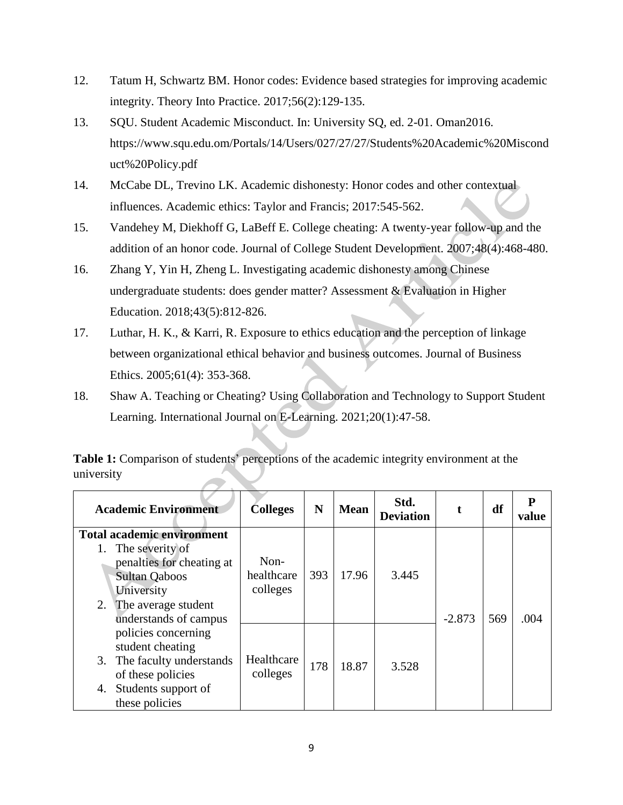- 12. Tatum H, Schwartz BM. Honor codes: Evidence based strategies for improving academic integrity. Theory Into Practice. 2017;56(2):129-135.
- 13. SQU. Student Academic Misconduct. In: University SQ, ed. 2-01. Oman2016. https://www.squ.edu.om/Portals/14/Users/027/27/27/Students%20Academic%20Miscond uct%20Policy.pdf
- 14. McCabe DL, Trevino LK. Academic dishonesty: Honor codes and other contextual influences. Academic ethics: Taylor and Francis; 2017:545-562.
- 15. Vandehey M, Diekhoff G, LaBeff E. College cheating: A twenty-year follow-up and the addition of an honor code. Journal of College Student Development. 2007;48(4):468-480.
- 16. Zhang Y, Yin H, Zheng L. Investigating academic dishonesty among Chinese undergraduate students: does gender matter? Assessment & Evaluation in Higher Education. 2018;43(5):812-826.
- 17. Luthar, H. K., & Karri, R. Exposure to ethics education and the perception of linkage between organizational ethical behavior and business outcomes. Journal of Business Ethics. 2005;61(4): 353-368.
- 18. Shaw A. Teaching or Cheating? Using Collaboration and Technology to Support Student Learning. International Journal on E-Learning. 2021;20(1):47-58.

**Table 1:** Comparison of students' perceptions of the academic integrity environment at the university

| <b>Academic Environment</b>                                                                                                                                                | <b>Colleges</b>                  | N   | <b>Mean</b> | Std.<br><b>Deviation</b> |          | df  | Р<br>value |
|----------------------------------------------------------------------------------------------------------------------------------------------------------------------------|----------------------------------|-----|-------------|--------------------------|----------|-----|------------|
| <b>Total academic environment</b><br>The severity of<br>penalties for cheating at<br><b>Sultan Qaboos</b><br>University<br>2. The average student<br>understands of campus | $Non-$<br>healthcare<br>colleges | 393 | 17.96       | 3.445                    | $-2.873$ | 569 | .004       |
| policies concerning<br>student cheating<br>3. The faculty understands<br>of these policies<br>Students support of<br>4.<br>these policies                                  | Healthcare<br>colleges           | 178 | 18.87       | 3.528                    |          |     |            |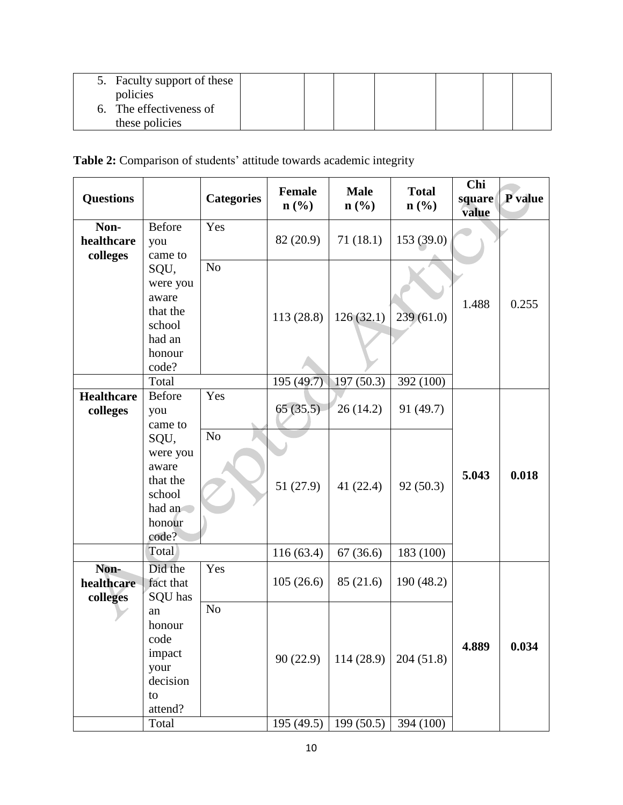| 5. Faculty support of these |  |  |  |  |
|-----------------------------|--|--|--|--|
| policies                    |  |  |  |  |
| The effectiveness of        |  |  |  |  |
| these policies              |  |  |  |  |

## **Table 2:** Comparison of students' attitude towards academic integrity

| <b>Questions</b>               |                                                                                                                          | <b>Categories</b>     | <b>Female</b><br>$n\left(\frac{0}{0}\right)$ | <b>Male</b><br>$n\left(\frac{0}{0}\right)$ | <b>Total</b><br>$n\left(\frac{0}{0}\right)$ | Chi<br>square<br>value | P value |
|--------------------------------|--------------------------------------------------------------------------------------------------------------------------|-----------------------|----------------------------------------------|--------------------------------------------|---------------------------------------------|------------------------|---------|
| Non-<br>healthcare<br>colleges | <b>Before</b><br>you<br>came to                                                                                          | Yes                   | 82 (20.9)                                    | 71(18.1)                                   | 153 (39.0)                                  |                        |         |
|                                | SQU,<br>were you<br>aware<br>that the<br>school<br>had an<br>honour                                                      | N <sub>o</sub>        | 113(28.8)                                    | 126(32.1)                                  | 239(61.0)                                   | 1.488                  | 0.255   |
|                                | code?                                                                                                                    |                       |                                              |                                            |                                             |                        |         |
| <b>Healthcare</b><br>colleges  | Total<br><b>Before</b><br>you<br>came to<br>SQU,<br>were you<br>aware<br>that the<br>school<br>had an<br>honour<br>code? | Yes<br>N <sub>o</sub> | 195 (49.7)<br>65(35.5)<br>51(27.9)           | 197(50.3)<br>26(14.2)<br>41 $(22.4)$       | 392 (100)<br>91 (49.7)<br>92(50.3)          | 5.043                  | 0.018   |
|                                | Total                                                                                                                    |                       | 116(63.4)                                    | 67(36.6)                                   | 183 (100)                                   |                        |         |
| Non-<br>healthcare<br>colleges | Did the<br>fact that<br>SQU has                                                                                          | Yes                   | 105(26.6)                                    | 85 (21.6)                                  | 190 (48.2)                                  |                        |         |
|                                | an<br>honour<br>code<br>impact<br>your<br>decision<br>to<br>attend?<br>Total                                             | N <sub>o</sub>        | 90(22.9)                                     | 114(28.9)<br>$195(49.5)$ 199 (50.5)        | 204(51.8)<br>394 (100)                      | 4.889                  | 0.034   |
|                                |                                                                                                                          |                       |                                              |                                            |                                             |                        |         |